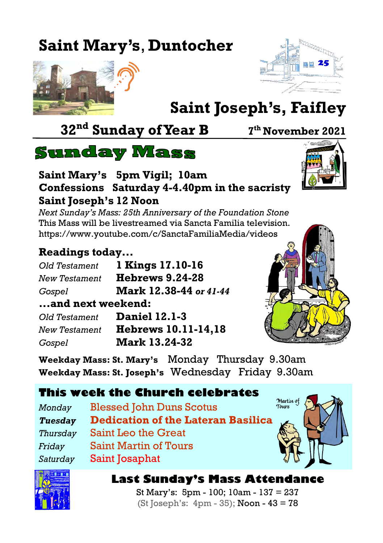# **Saint Mary's**, **Duntocher**





# **Saint Joseph's, Faifley**

## **32 nd Sunday of Year B <sup>7</sup>**

### **th November 2021**



**Saint Mary's 5pm Vigil; 10am Confessions Saturday 4-4.40pm in the sacristy Saint Joseph's 12 Noon**

*Next Sunday's Mass: 25th Anniversary of the Foundation Stone* This Mass will be livestreamed via Sancta Familia television. <https://www.youtube.com/c/SanctaFamiliaMedia/videos>

#### **Readings today...**

| Old Testament        | 1 Kings 17.10-16       |  |  |  |  |
|----------------------|------------------------|--|--|--|--|
| <b>New Testament</b> | <b>Hebrews 9.24-28</b> |  |  |  |  |
| Gospel               | Mark 12.38-44 or 41-44 |  |  |  |  |
| and next weekend:    |                        |  |  |  |  |
|                      |                        |  |  |  |  |

| Old Testament | <b>Daniel 12.1-3</b>       |  |  |
|---------------|----------------------------|--|--|
| New Testament | <b>Hebrews 10.11-14,18</b> |  |  |
| Gospel        | <b>Mark 13.24-32</b>       |  |  |



**Weekday Mass: St. Mary's** Monday Thursday 9.30am **Weekday Mass: St. Joseph's** Wednesday Friday 9.30am

#### **This week the Church celebrates**

*Monday* Blessed John Duns Scotus *Tuesday* **Dedication of the Lateran Basilica** *Thursday* Saint Leo the Great *Friday* Saint Martin of Tours *Saturday* Saint Josaphat





#### **Last Sunday's Mass Attendance**

St Mary's: 5pm - 100; 10am - 137 = 237 (St Joseph's: 4pm - 35); Noon - 43 = 78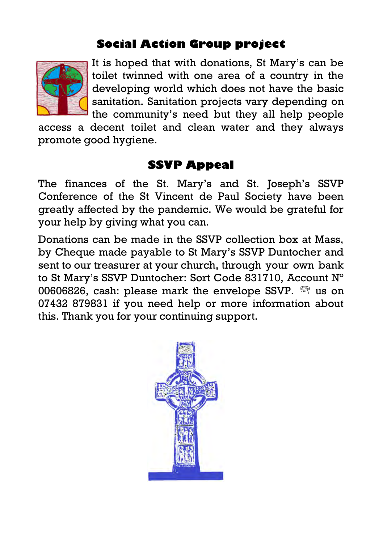### **Social Action Group project**



It is hoped that with donations, St Mary's can be toilet twinned with one area of a country in the developing world which does not have the basic sanitation. Sanitation projects vary depending on the community's need but they all help people

access a decent toilet and clean water and they always promote good hygiene.

#### **SSVP Appeal**

The finances of the St. Mary's and St. Joseph's SSVP Conference of the St Vincent de Paul Society have been greatly affected by the pandemic. We would be grateful for your help by giving what you can.

Donations can be made in the SSVP collection box at Mass, by Cheque made payable to St Mary's SSVP Duntocher and sent to our treasurer at your church, through your own bank to St Mary's SSVP Duntocher: Sort Code 831710, Account Nº 00606826, cash: please mark the envelope SSVP.  $\mathbb{R}$  us on 07432 879831 if you need help or more information about this. Thank you for your continuing support.

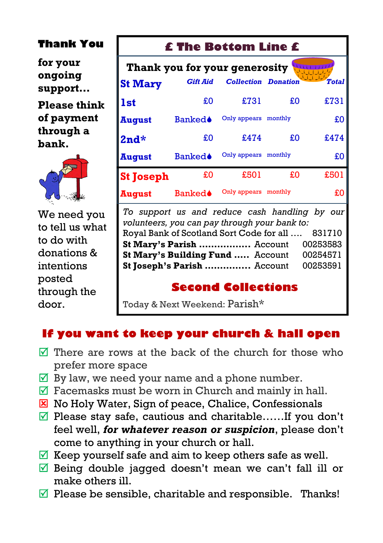#### **Thank You**

**for your ongoing support…**

**Please think of payment through a bank.**



We need you to tell us what to do with donations & intentions posted through the door.

#### **£ The Bottom Line £**

| Thank you for your generosity |                 |                            |         |              |  |  |  |
|-------------------------------|-----------------|----------------------------|---------|--------------|--|--|--|
| <b>St Mary</b>                | <b>Gift Aid</b> | <b>Collection Donation</b> |         | <b>Total</b> |  |  |  |
| <b>lst</b>                    | £O              | £731                       | £O      | £731         |  |  |  |
| August                        | <b>Banked</b>   | Only appears monthly       |         | £O           |  |  |  |
| $2nd*$                        | £O              | £474                       | £O      | £474         |  |  |  |
| <b>August</b>                 | Banked≜         | Only appears monthly       |         | £O           |  |  |  |
| <b>St Joseph</b>              | £0              | £501                       | £O      | £501         |  |  |  |
| August                        | <b>Banked≜</b>  | Only appears               | monthly | £0           |  |  |  |

*To support us and reduce cash handling by our volunteers, you can pay through your bank to:* Royal Bank of Scotland Sort Code for all …. 831710 **St Mary's Parish .................** Account 00253583 **St Mary's Building Fund .....** Account 00254571 **St Joseph's Parish ...............** Account 00253591

### **Second Collections**

Today & Next Weekend: Parish\*

#### **If you want to keep your church & hall open**

- $\overline{\mathcal{A}}$  There are rows at the back of the church for those who prefer more space
- $\overline{M}$  By law, we need your name and a phone number.
- $\overline{V}$  Facemasks must be worn in Church and mainly in hall.
- **E** No Holy Water, Sign of peace, Chalice, Confessionals
- $\Pi$  Please stay safe, cautious and charitable...... If you don't feel well, *for whatever reason or suspicion*, please don't come to anything in your church or hall.
- $\overline{M}$  Keep yourself safe and aim to keep others safe as well.
- $\overline{\mathbb{Z}}$  Being double jagged doesn't mean we can't fall ill or make others ill.
- $\triangledown$  Please be sensible, charitable and responsible. Thanks!